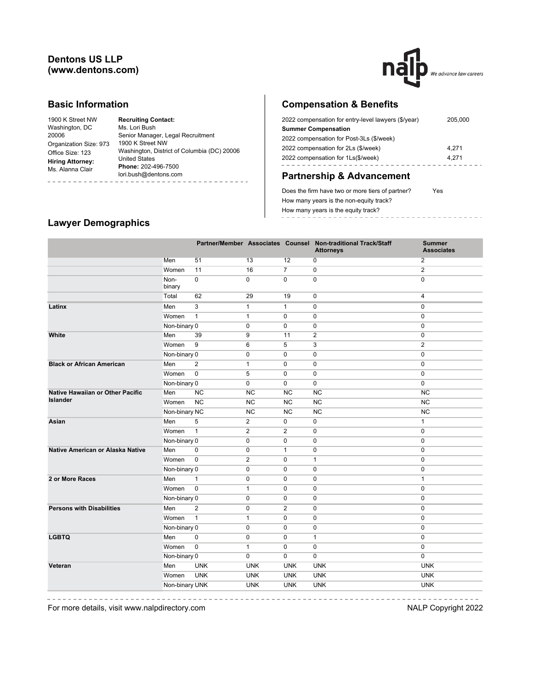## **Dentons US LLP (www.dentons.com)**



### **Basic Information**

| 1900 K Street NW        | <b>Recruiting Contact:</b>                  |  |  |  |  |  |  |
|-------------------------|---------------------------------------------|--|--|--|--|--|--|
| Washington, DC          | Ms. Lori Bush                               |  |  |  |  |  |  |
| 20006                   | Senior Manager, Legal Recruitment           |  |  |  |  |  |  |
| Organization Size: 973  | 1900 K Street NW                            |  |  |  |  |  |  |
| Office Size: 123        | Washington, District of Columbia (DC) 20006 |  |  |  |  |  |  |
| <b>Hiring Attorney:</b> | <b>United States</b>                        |  |  |  |  |  |  |
| Ms. Alanna Clair        | Phone: 202-496-7500                         |  |  |  |  |  |  |
|                         | lori.bush@dentons.com                       |  |  |  |  |  |  |
|                         |                                             |  |  |  |  |  |  |

## **Compensation & Benefits**

| 2022 compensation for entry-level lawyers (\$/year) | 205,000 |
|-----------------------------------------------------|---------|
| <b>Summer Compensation</b>                          |         |
| 2022 compensation for Post-3Ls (\$/week)            |         |
| 2022 compensation for 2Ls (\$/week)                 | 4.271   |
| 2022 compensation for 1Ls(\$/week)                  | 4.271   |
|                                                     |         |

# **Partnership & Advancement**

Does the firm have two or more tiers of partner? Yes How many years is the non-equity track? How many years is the equity track? ------------------

# **Lawyer Demographics**

|                                         |                |                |                |                | Partner/Member Associates Counsel Non-traditional Track/Staff<br><b>Attorneys</b> | <b>Summer</b><br><b>Associates</b> |
|-----------------------------------------|----------------|----------------|----------------|----------------|-----------------------------------------------------------------------------------|------------------------------------|
|                                         | Men            | 51             | 13             | 12             | 0                                                                                 | $\overline{2}$                     |
|                                         | Women          | 11             | 16             | $\overline{7}$ | $\mathbf 0$                                                                       | $\overline{2}$                     |
|                                         | Non-<br>binary | $\mathbf 0$    | $\mathbf 0$    | $\mathbf 0$    | $\mathbf 0$                                                                       | $\mathbf 0$                        |
|                                         | Total          | 62             | 29             | 19             | $\mathbf 0$                                                                       | $\overline{4}$                     |
| Latinx                                  | Men            | 3              | $\mathbf{1}$   | $\mathbf{1}$   | $\mathbf 0$                                                                       | $\mathbf{0}$                       |
|                                         | Women          | $\mathbf{1}$   | $\mathbf{1}$   | $\Omega$       | $\mathbf 0$                                                                       | $\mathbf{0}$                       |
|                                         | Non-binary 0   |                | 0              | $\mathbf 0$    | 0                                                                                 | $\mathbf 0$                        |
| White                                   | Men            | 39             | 9              | 11             | $\overline{2}$                                                                    | $\mathbf 0$                        |
|                                         | Women          | 9              | 6              | 5              | 3                                                                                 | $\sqrt{2}$                         |
|                                         | Non-binary 0   |                | 0              | $\mathbf 0$    | $\mathbf 0$                                                                       | $\mathbf 0$                        |
| <b>Black or African American</b>        | Men            | $\overline{2}$ | $\mathbf{1}$   | $\mathbf 0$    | $\pmb{0}$                                                                         | $\mathbf 0$                        |
|                                         | Women          | $\mathbf 0$    | 5              | $\mathbf 0$    | $\mathbf 0$                                                                       | $\mathbf{0}$                       |
|                                         | Non-binary 0   |                | 0              | $\mathbf 0$    | $\mathbf 0$                                                                       | $\mathbf 0$                        |
| <b>Native Hawaiian or Other Pacific</b> | Men            | <b>NC</b>      | <b>NC</b>      | <b>NC</b>      | <b>NC</b>                                                                         | <b>NC</b>                          |
| <b>Islander</b>                         | Women          | <b>NC</b>      | <b>NC</b>      | <b>NC</b>      | NC                                                                                | <b>NC</b>                          |
|                                         | Non-binary NC  |                | NC             | NC             | NC                                                                                | NC                                 |
| Asian                                   | Men            | 5              | 2              | $\mathbf 0$    | 0                                                                                 | $\mathbf{1}$                       |
|                                         | Women          | $\overline{1}$ | $\overline{2}$ | $\mathbf{2}$   | $\pmb{0}$                                                                         | $\pmb{0}$                          |
|                                         | Non-binary 0   |                | $\pmb{0}$      | $\pmb{0}$      | $\pmb{0}$                                                                         | $\mathbf 0$                        |
| Native American or Alaska Native        | Men            | $\pmb{0}$      | $\mathbf 0$    | $\mathbf{1}$   | 0                                                                                 | $\mathbf 0$                        |
|                                         | Women          | $\pmb{0}$      | $\overline{2}$ | $\mathbf 0$    | $\mathbf{1}$                                                                      | $\mathbf 0$                        |
|                                         | Non-binary 0   |                | $\mathbf 0$    | $\mathbf 0$    | 0                                                                                 | $\mathbf{0}$                       |
| 2 or More Races                         | Men            | $\mathbf{1}$   | $\mathbf 0$    | $\mathbf 0$    | 0                                                                                 | $\mathbf{1}$                       |
|                                         | Women          | $\mathbf 0$    | $\mathbf{1}$   | $\mathbf 0$    | $\mathbf 0$                                                                       | $\mathbf{0}$                       |
|                                         | Non-binary 0   |                | $\mathbf 0$    | $\mathbf 0$    | $\mathbf 0$                                                                       | $\mathbf 0$                        |
| <b>Persons with Disabilities</b>        | Men            | 2              | $\mathbf 0$    | 2              | 0                                                                                 | $\mathbf{0}$                       |
|                                         | Women          | $\mathbf{1}$   | $\mathbf{1}$   | $\Omega$       | $\mathbf 0$                                                                       | $\mathbf{0}$                       |
|                                         | Non-binary 0   |                | $\mathbf 0$    | $\Omega$       | $\mathbf 0$                                                                       | $\mathbf{0}$                       |
| <b>LGBTQ</b>                            | Men            | $\mathbf 0$    | $\mathbf 0$    | $\mathbf 0$    | $\mathbf{1}$                                                                      | $\mathbf{0}$                       |
|                                         | Women          | $\mathbf 0$    | $\mathbf{1}$   | $\mathbf 0$    | $\mathbf 0$                                                                       | $\mathbf{0}$                       |
|                                         | Non-binary 0   |                | $\mathbf 0$    | $\mathbf 0$    | 0                                                                                 | $\mathbf 0$                        |
| Veteran                                 | Men            | <b>UNK</b>     | <b>UNK</b>     | <b>UNK</b>     | <b>UNK</b>                                                                        | <b>UNK</b>                         |
|                                         | Women          | <b>UNK</b>     | <b>UNK</b>     | <b>UNK</b>     | <b>UNK</b>                                                                        | <b>UNK</b>                         |
|                                         | Non-binary UNK |                | <b>UNK</b>     | <b>UNK</b>     | <b>UNK</b>                                                                        | <b>UNK</b>                         |
|                                         |                |                |                |                |                                                                                   |                                    |

-----------

For more details, visit www.nalpdirectory.com NALP Copyright 2022

\_\_\_\_\_\_\_\_\_\_\_\_\_\_\_\_\_\_\_\_\_

-----------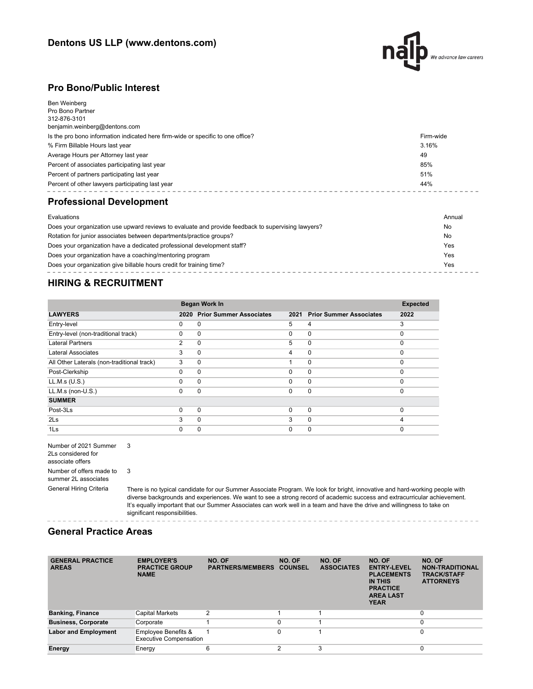

### **Pro Bono/Public Interest**

| Ben Weinberg<br>Pro Bono Partner<br>312-876-3101<br>benjamin.weinberg@dentons.com |           |
|-----------------------------------------------------------------------------------|-----------|
| Is the pro bono information indicated here firm-wide or specific to one office?   | Firm-wide |
| % Firm Billable Hours last year                                                   | 3.16%     |
| Average Hours per Attorney last year                                              | 49        |
| Percent of associates participating last year                                     | 85%       |
| Percent of partners participating last year                                       | 51%       |
| Percent of other lawyers participating last year                                  | 44%       |
| <b>Professional Development</b>                                                   |           |
| Evaluations                                                                       | Annual    |

| Does your organization use upward reviews to evaluate and provide feedback to supervising lawyers? | No  |
|----------------------------------------------------------------------------------------------------|-----|
| Rotation for junior associates between departments/practice groups?                                | No  |
| Does your organization have a dedicated professional development staff?                            | Yes |
| Does your organization have a coaching/mentoring program                                           | Yes |
| Does your organization give billable hours credit for training time?                               | Yes |
|                                                                                                    |     |

## **HIRING & RECRUITMENT**

|                                            |                | Began Work In                  |          |                                |          |  |
|--------------------------------------------|----------------|--------------------------------|----------|--------------------------------|----------|--|
| <b>LAWYERS</b>                             | 2020           | <b>Prior Summer Associates</b> | 2021     | <b>Prior Summer Associates</b> | 2022     |  |
| Entry-level                                | 0              | $\Omega$                       | 5        | 4                              | 3        |  |
| Entry-level (non-traditional track)        | $\Omega$       | 0                              | $\Omega$ | $\mathbf 0$                    | $\Omega$ |  |
| <b>Lateral Partners</b>                    | $\overline{2}$ | $\Omega$                       | 5        | $\mathbf 0$                    | $\Omega$ |  |
| Lateral Associates                         | 3              | $\Omega$                       | 4        | $\mathbf 0$                    | $\Omega$ |  |
| All Other Laterals (non-traditional track) | 3              | 0                              |          | $\mathbf 0$                    | $\Omega$ |  |
| Post-Clerkship                             | $\Omega$       | $\Omega$                       | $\Omega$ | $\mathbf 0$                    | $\Omega$ |  |
| LL.M.s (U.S.)                              | 0              | $\Omega$                       | $\Omega$ | $\mathbf 0$                    | $\Omega$ |  |
| $LL.M.s$ (non- $U.S.$ )                    | $\Omega$       | $\Omega$                       | 0        | $\mathbf 0$                    | $\Omega$ |  |
| <b>SUMMER</b>                              |                |                                |          |                                |          |  |
| Post-3Ls                                   | $\Omega$       | $\Omega$                       | $\Omega$ | $\mathbf 0$                    | $\Omega$ |  |
| 2 <sub>ls</sub>                            | 3              | $\Omega$                       | 3        | $\mathbf 0$                    | 4        |  |
| 1Ls                                        | 0              | 0                              | 0        | 0                              | $\Omega$ |  |

Number of 2021 Summer 3 2Ls considered for associate offers Number of offers made to summer 2L associates 3

General Hiring Criteria There is no typical candidate for our Summer Associate Program. We look for bright, innovative and hard-working people with diverse backgrounds and experiences. We want to see a strong record of academic success and extracurricular achievement. It's equally important that our Summer Associates can work well in a team and have the drive and willingness to take on significant responsibilities.

### **General Practice Areas**

| <b>GENERAL PRACTICE</b><br><b>AREAS</b> | <b>EMPLOYER'S</b><br><b>PRACTICE GROUP</b><br><b>NAME</b> | NO. OF<br><b>PARTNERS/MEMBERS</b> | NO. OF<br><b>COUNSEL</b> | NO. OF<br><b>ASSOCIATES</b> | NO. OF<br><b>ENTRY-LEVEL</b><br><b>PLACEMENTS</b><br>IN THIS<br><b>PRACTICE</b><br><b>AREA LAST</b><br><b>YEAR</b> | NO. OF<br><b>NON-TRADITIONAL</b><br><b>TRACK/STAFF</b><br><b>ATTORNEYS</b> |
|-----------------------------------------|-----------------------------------------------------------|-----------------------------------|--------------------------|-----------------------------|--------------------------------------------------------------------------------------------------------------------|----------------------------------------------------------------------------|
| <b>Banking, Finance</b>                 | Capital Markets                                           | 2                                 |                          |                             |                                                                                                                    | $\mathbf 0$                                                                |
| <b>Business, Corporate</b>              | Corporate                                                 |                                   | $\Omega$                 |                             |                                                                                                                    | $\Omega$                                                                   |
| <b>Labor and Employment</b>             | Employee Benefits &<br><b>Executive Compensation</b>      |                                   | 0                        |                             |                                                                                                                    | 0                                                                          |
| Energy                                  | Energy                                                    | 6                                 | c                        | 3                           |                                                                                                                    | 0                                                                          |